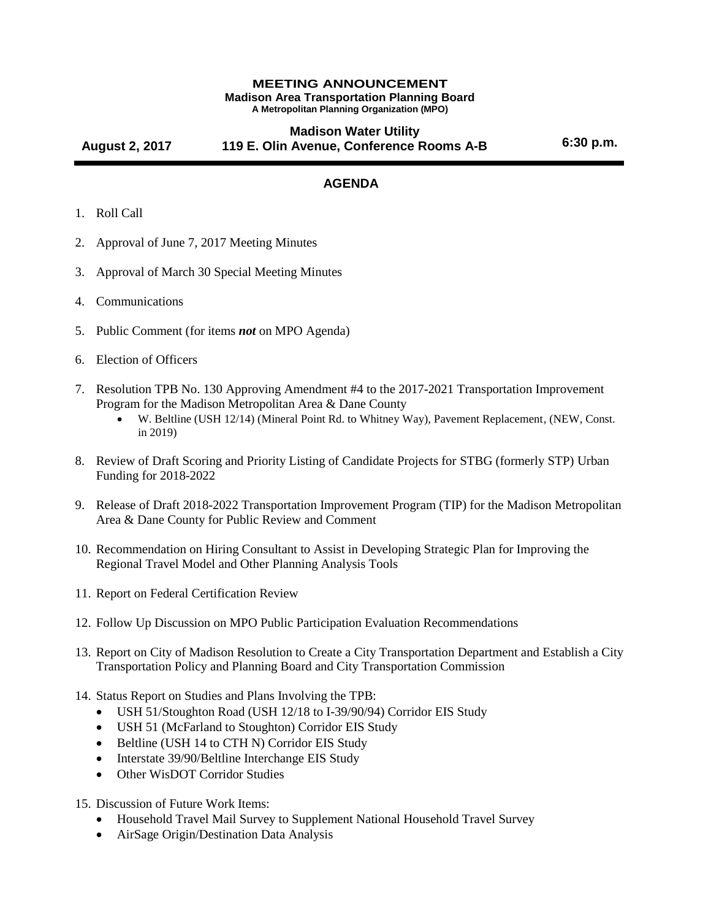## **MEETING ANNOUNCEMENT Madison Area Transportation Planning Board A Metropolitan Planning Organization (MPO)**

## **August 2, 2017 Madison Water Utility 119 E. Olin Avenue, Conference Rooms A-B 6:30 p.m.**

## **AGENDA**

- 1. Roll Call
- 2. Approval of June 7, 2017 Meeting Minutes
- 3. Approval of March 30 Special Meeting Minutes
- 4. Communications
- 5. Public Comment (for items *not* on MPO Agenda)
- 6. Election of Officers
- 7. Resolution TPB No. 130 Approving Amendment #4 to the 2017-2021 Transportation Improvement Program for the Madison Metropolitan Area & Dane County<br>
• W. Beltline (USH 12/14) (Mineral Point Rd to Whitney W
	- W. Beltline (USH 12/14) (Mineral Point Rd. to Whitney Way), Pavement Replacement, (NEW, Const. in 2019)
- 8. Review of Draft Scoring and Priority Listing of Candidate Projects for STBG (formerly STP) Urban Funding for 2018-2022
- 9. Release of Draft 2018-2022 Transportation Improvement Program (TIP) for the Madison Metropolitan Area & Dane County for Public Review and Comment
- 10. Recommendation on Hiring Consultant to Assist in Developing Strategic Plan for Improving the Regional Travel Model and Other Planning Analysis Tools
- 11. Report on Federal Certification Review
- 12. Follow Up Discussion on MPO Public Participation Evaluation Recommendations
- 13. Report on City of Madison Resolution to Create a City Transportation Department and Establish a City Transportation Policy and Planning Board and City Transportation Commission
- 14. Status Report on Studies and Plans Involving the TPB:
	- USH 51/Stoughton Road (USH 12/18 to I-39/90/94) Corridor EIS Study
	- USH 51 (McFarland to Stoughton) Corridor EIS Study
	- Beltline (USH 14 to CTH N) Corridor EIS Study
	- Interstate 39/90/Beltline Interchange EIS Study
	- Other WisDOT Corridor Studies
- 15. Discussion of Future Work Items:
	- Household Travel Mail Survey to Supplement National Household Travel Survey
	- AirSage Origin/Destination Data Analysis